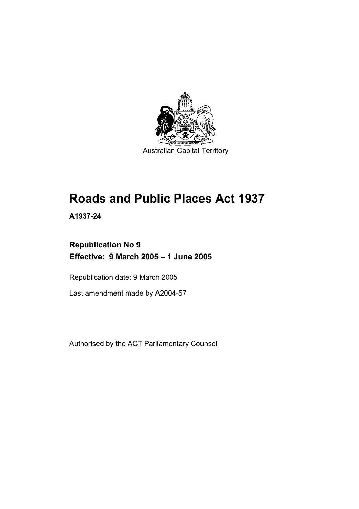

# **Roads and Public Places Act 1937**

**A1937-24** 

# **Republication No 9 Effective: 9 March 2005 – 1 June 2005**

Republication date: 9 March 2005

Last amendment made by A2004-57

Authorised by the ACT Parliamentary Counsel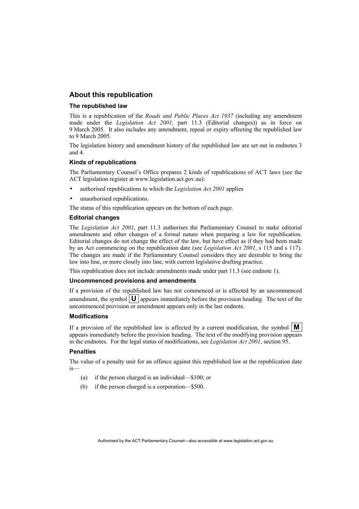# **About this republication**

#### **The republished law**

This is a republication of the *Roads and Public Places Act 1937* (including any amendment made under the *Legislation Act 2001*, part 11.3 (Editorial changes)) as in force on 9 March 2005*.* It also includes any amendment, repeal or expiry affecting the republished law to 9 March 2005.

The legislation history and amendment history of the republished law are set out in endnotes 3 and 4.

#### **Kinds of republications**

The Parliamentary Counsel's Office prepares 2 kinds of republications of ACT laws (see the ACT legislation register at www.legislation.act.gov.au):

- authorised republications to which the *Legislation Act 2001* applies
- unauthorised republications.

The status of this republication appears on the bottom of each page.

#### **Editorial changes**

The *Legislation Act 2001*, part 11.3 authorises the Parliamentary Counsel to make editorial amendments and other changes of a formal nature when preparing a law for republication. Editorial changes do not change the effect of the law, but have effect as if they had been made by an Act commencing on the republication date (see *Legislation Act 2001*, s 115 and s 117). The changes are made if the Parliamentary Counsel considers they are desirable to bring the law into line, or more closely into line, with current legislative drafting practice.

This republication does not include amendments made under part 11.3 (see endnote 1).

#### **Uncommenced provisions and amendments**

If a provision of the republished law has not commenced or is affected by an uncommenced amendment, the symbol  $\mathbf{U}$  appears immediately before the provision heading. The text of the uncommenced provision or amendment appears only in the last endnote.

#### **Modifications**

If a provision of the republished law is affected by a current modification, the symbol  $\mathbf{M}$ appears immediately before the provision heading. The text of the modifying provision appears in the endnotes. For the legal status of modifications, see *Legislation Act 2001*, section 95.

#### **Penalties**

The value of a penalty unit for an offence against this republished law at the republication date is—

- (a) if the person charged is an individual—\$100; or
- (b) if the person charged is a corporation—\$500.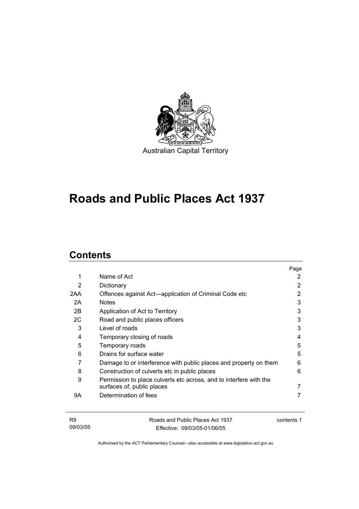

# **Roads and Public Places Act 1937**

# **Contents**

|     |                                                                    | Page |
|-----|--------------------------------------------------------------------|------|
| 1   | Name of Act                                                        | 2    |
| 2   | Dictionary                                                         | 2    |
| 2AA | Offences against Act—application of Criminal Code etc              | 2    |
| 2A  | <b>Notes</b>                                                       | 3    |
| 2B  | Application of Act to Territory                                    | 3    |
| 2C  | Road and public places officers                                    | 3    |
| 3   | Level of roads                                                     | 3    |
| 4   | Temporary closing of roads                                         | 4    |
| 5   | Temporary roads                                                    | 5    |
| 6   | Drains for surface water                                           | 5    |
| 7   | Damage to or interference with public places and property on them  | 6    |
| 8   | Construction of culverts etc in public places                      | 6    |
| 9   | Permission to place culverts etc across, and to interfere with the |      |
|     | surfaces of, public places                                         |      |
| 9Α  | Determination of fees                                              |      |
|     |                                                                    |      |

| <b>R9</b> | Roads and Public Places Act 1937 | contents 1 |
|-----------|----------------------------------|------------|
| 09/03/05  | Effective: 09/03/05-01/06/05     |            |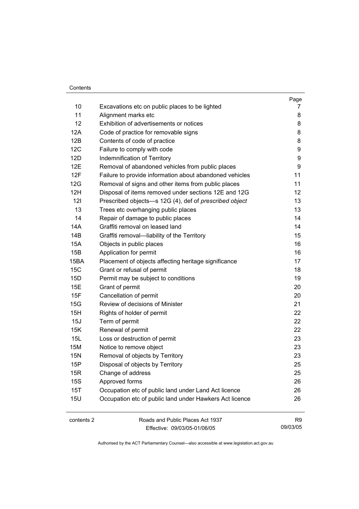#### Contents

|            |                                                         | Page |
|------------|---------------------------------------------------------|------|
| 10         | Excavations etc on public places to be lighted          | 7    |
| 11         | Alignment marks etc                                     | 8    |
| 12         | Exhibition of advertisements or notices                 | 8    |
| 12A        | Code of practice for removable signs                    | 8    |
| 12B        | Contents of code of practice                            | 8    |
| 12C        | Failure to comply with code                             | 9    |
| 12D        | Indemnification of Territory                            | 9    |
| 12E        | Removal of abandoned vehicles from public places        | 9    |
| 12F        | Failure to provide information about abandoned vehicles | 11   |
| 12G        | Removal of signs and other items from public places     | 11   |
| 12H        | Disposal of items removed under sections 12E and 12G    | 12   |
| 121        | Prescribed objects-s 12G (4), def of prescribed object  | 13   |
| 13         | Trees etc overhanging public places                     | 13   |
| 14         | Repair of damage to public places                       | 14   |
| 14A        | Graffiti removal on leased land                         | 14   |
| 14B        | Graffiti removal-liability of the Territory             | 15   |
| <b>15A</b> | Objects in public places                                | 16   |
| 15B        | Application for permit                                  | 16   |
| 15BA       | Placement of objects affecting heritage significance    | 17   |
| 15C        | Grant or refusal of permit                              | 18   |
| 15D        | Permit may be subject to conditions                     | 19   |
| 15E        | Grant of permit                                         | 20   |
| 15F        | Cancellation of permit                                  | 20   |
| 15G        | Review of decisions of Minister                         | 21   |
| 15H        | Rights of holder of permit                              | 22   |
| 15J        | Term of permit                                          | 22   |
| 15K        | Renewal of permit                                       | 22   |
| 15L        | Loss or destruction of permit                           | 23   |
| 15M        | Notice to remove object                                 | 23   |
| <b>15N</b> | Removal of objects by Territory                         | 23   |
| 15P        | Disposal of objects by Territory                        | 25   |
| 15R        | Change of address                                       | 25   |
| <b>15S</b> | Approved forms                                          | 26   |
| 15T        | Occupation etc of public land under Land Act licence    | 26   |
| <b>15U</b> | Occupation etc of public land under Hawkers Act licence | 26   |
| contents 2 | Roads and Public Places Act 1937                        | R9   |
|            |                                                         |      |

Effective: 09/03/05-01/06/05

09/03/05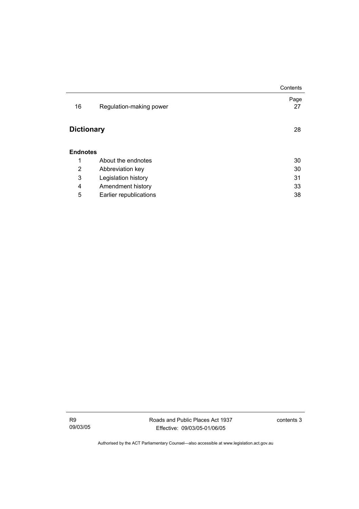|                   |                         | Contents   |
|-------------------|-------------------------|------------|
| 16                | Regulation-making power | Page<br>27 |
| <b>Dictionary</b> |                         | 28         |
| <b>Endnotes</b>   |                         |            |
| 1                 | About the endnotes      | 30         |
| 2                 | Abbreviation key        | 30         |
| 3                 | Legislation history     | 31         |
| 4                 | Amendment history       | 33         |
| 5                 | Earlier republications  | 38         |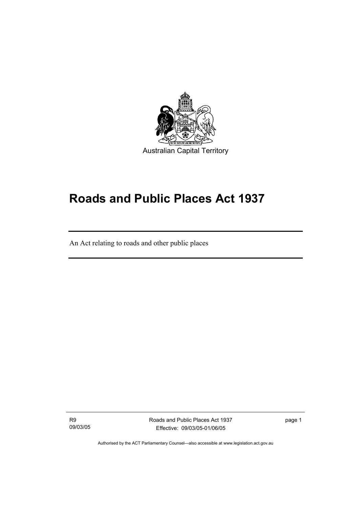

# **Roads and Public Places Act 1937**

An Act relating to roads and other public places

R9 09/03/05

I

Roads and Public Places Act 1937 Effective: 09/03/05-01/06/05

page 1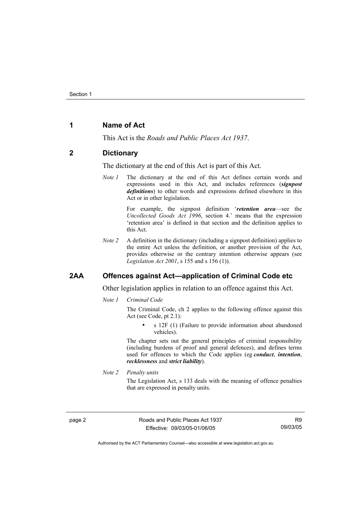# **1 Name of Act**

This Act is the *Roads and Public Places Act 1937*.

#### **2 Dictionary**

The dictionary at the end of this Act is part of this Act.

*Note 1* The dictionary at the end of this Act defines certain words and expressions used in this Act, and includes references (*signpost definitions*) to other words and expressions defined elsewhere in this Act or in other legislation.

> For example, the signpost definition '*retention area*—see the *Uncollected Goods Act 1996*, section 4.' means that the expression 'retention area' is defined in that section and the definition applies to this Act.

*Note 2* A definition in the dictionary (including a signpost definition) applies to the entire Act unless the definition, or another provision of the Act, provides otherwise or the contrary intention otherwise appears (see *Legislation Act 2001*, s 155 and s 156 (1)).

# **2AA Offences against Act—application of Criminal Code etc**

Other legislation applies in relation to an offence against this Act.

*Note 1 Criminal Code*

The Criminal Code, ch 2 applies to the following offence against this Act (see Code, pt 2.1):

s 12F (1) (Failure to provide information about abandoned vehicles).

The chapter sets out the general principles of criminal responsibility (including burdens of proof and general defences), and defines terms used for offences to which the Code applies (eg *conduct*, *intention*, *recklessness* and *strict liability*).

*Note 2 Penalty units* 

The Legislation Act, s 133 deals with the meaning of offence penalties that are expressed in penalty units.

page 2 Roads and Public Places Act 1937 Effective: 09/03/05-01/06/05

R9 09/03/05

Authorised by the ACT Parliamentary Counsel—also accessible at www.legislation.act.gov.au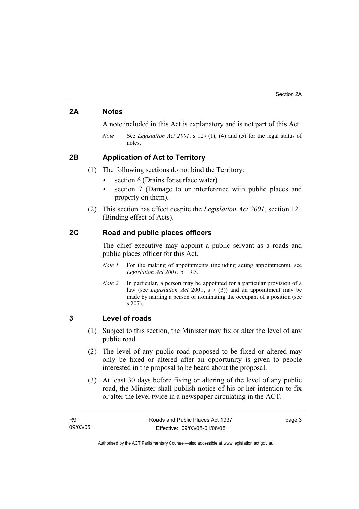# **2A Notes**

A note included in this Act is explanatory and is not part of this Act.

*Note* See *Legislation Act 2001*, s 127 (1), (4) and (5) for the legal status of notes.

# **2B Application of Act to Territory**

(1) The following sections do not bind the Territory:

- section 6 (Drains for surface water)
- section 7 (Damage to or interference with public places and property on them).
- (2) This section has effect despite the *Legislation Act 2001*, section 121 (Binding effect of Acts).

# **2C Road and public places officers**

The chief executive may appoint a public servant as a roads and public places officer for this Act.

- *Note 1* For the making of appointments (including acting appointments), see *Legislation Act 2001*, pt 19.3.
- *Note 2* In particular, a person may be appointed for a particular provision of a law (see *Legislation Act* 2001, s 7 (3)) and an appointment may be made by naming a person or nominating the occupant of a position (see s 207).

# **3 Level of roads**

- (1) Subject to this section, the Minister may fix or alter the level of any public road.
- (2) The level of any public road proposed to be fixed or altered may only be fixed or altered after an opportunity is given to people interested in the proposal to be heard about the proposal.
- (3) At least 30 days before fixing or altering of the level of any public road, the Minister shall publish notice of his or her intention to fix or alter the level twice in a newspaper circulating in the ACT.

page 3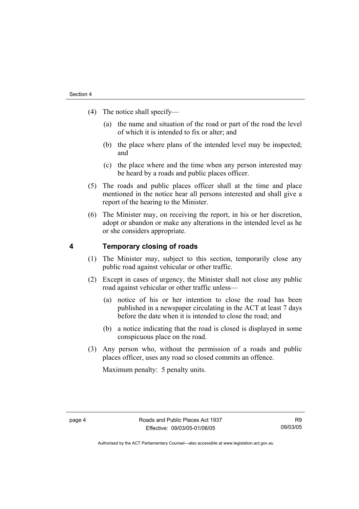- (4) The notice shall specify—
	- (a) the name and situation of the road or part of the road the level of which it is intended to fix or alter; and
	- (b) the place where plans of the intended level may be inspected; and
	- (c) the place where and the time when any person interested may be heard by a roads and public places officer.
- (5) The roads and public places officer shall at the time and place mentioned in the notice hear all persons interested and shall give a report of the hearing to the Minister.
- (6) The Minister may, on receiving the report, in his or her discretion, adopt or abandon or make any alterations in the intended level as he or she considers appropriate.

# **4 Temporary closing of roads**

- (1) The Minister may, subject to this section, temporarily close any public road against vehicular or other traffic.
- (2) Except in cases of urgency, the Minister shall not close any public road against vehicular or other traffic unless—
	- (a) notice of his or her intention to close the road has been published in a newspaper circulating in the ACT at least 7 days before the date when it is intended to close the road; and
	- (b) a notice indicating that the road is closed is displayed in some conspicuous place on the road.
- (3) Any person who, without the permission of a roads and public places officer, uses any road so closed commits an offence.

Maximum penalty: 5 penalty units.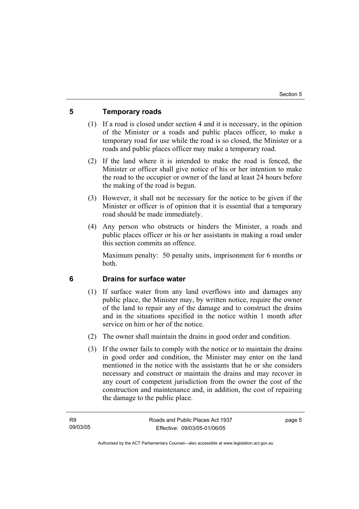# **5 Temporary roads**

- (1) If a road is closed under section 4 and it is necessary, in the opinion of the Minister or a roads and public places officer, to make a temporary road for use while the road is so closed, the Minister or a roads and public places officer may make a temporary road.
- (2) If the land where it is intended to make the road is fenced, the Minister or officer shall give notice of his or her intention to make the road to the occupier or owner of the land at least 24 hours before the making of the road is begun.
- (3) However, it shall not be necessary for the notice to be given if the Minister or officer is of opinion that it is essential that a temporary road should be made immediately.
- (4) Any person who obstructs or hinders the Minister, a roads and public places officer or his or her assistants in making a road under this section commits an offence.

Maximum penalty: 50 penalty units, imprisonment for 6 months or both.

## **6 Drains for surface water**

- (1) If surface water from any land overflows into and damages any public place, the Minister may, by written notice, require the owner of the land to repair any of the damage and to construct the drains and in the situations specified in the notice within 1 month after service on him or her of the notice.
- (2) The owner shall maintain the drains in good order and condition.
- (3) If the owner fails to comply with the notice or to maintain the drains in good order and condition, the Minister may enter on the land mentioned in the notice with the assistants that he or she considers necessary and construct or maintain the drains and may recover in any court of competent jurisdiction from the owner the cost of the construction and maintenance and, in addition, the cost of repairing the damage to the public place.

page 5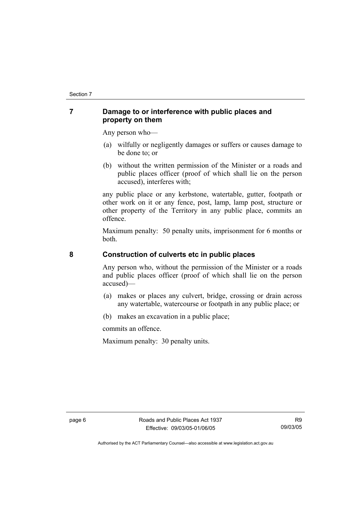# **7 Damage to or interference with public places and property on them**

Any person who—

- (a) wilfully or negligently damages or suffers or causes damage to be done to; or
- (b) without the written permission of the Minister or a roads and public places officer (proof of which shall lie on the person accused), interferes with;

any public place or any kerbstone, watertable, gutter, footpath or other work on it or any fence, post, lamp, lamp post, structure or other property of the Territory in any public place, commits an offence.

Maximum penalty: 50 penalty units, imprisonment for 6 months or both.

# **8 Construction of culverts etc in public places**

Any person who, without the permission of the Minister or a roads and public places officer (proof of which shall lie on the person accused)—

- (a) makes or places any culvert, bridge, crossing or drain across any watertable, watercourse or footpath in any public place; or
- (b) makes an excavation in a public place;

commits an offence.

Maximum penalty: 30 penalty units.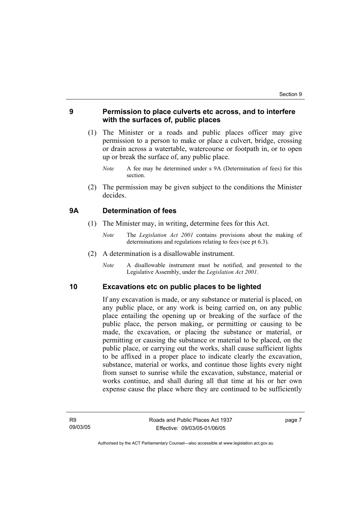# **9 Permission to place culverts etc across, and to interfere with the surfaces of, public places**

- (1) The Minister or a roads and public places officer may give permission to a person to make or place a culvert, bridge, crossing or drain across a watertable, watercourse or footpath in, or to open up or break the surface of, any public place.
	- *Note* A fee may be determined under s 9A (Determination of fees) for this section.
- (2) The permission may be given subject to the conditions the Minister decides.

## **9A Determination of fees**

- (1) The Minister may, in writing, determine fees for this Act.
	- *Note* The *Legislation Act 2001* contains provisions about the making of determinations and regulations relating to fees (see pt 6.3).
- (2) A determination is a disallowable instrument.
	- *Note* A disallowable instrument must be notified, and presented to the Legislative Assembly, under the *Legislation Act 2001*.

#### **10 Excavations etc on public places to be lighted**

If any excavation is made, or any substance or material is placed, on any public place, or any work is being carried on, on any public place entailing the opening up or breaking of the surface of the public place, the person making, or permitting or causing to be made, the excavation, or placing the substance or material, or permitting or causing the substance or material to be placed, on the public place, or carrying out the works, shall cause sufficient lights to be affixed in a proper place to indicate clearly the excavation, substance, material or works, and continue those lights every night from sunset to sunrise while the excavation, substance, material or works continue, and shall during all that time at his or her own expense cause the place where they are continued to be sufficiently

page 7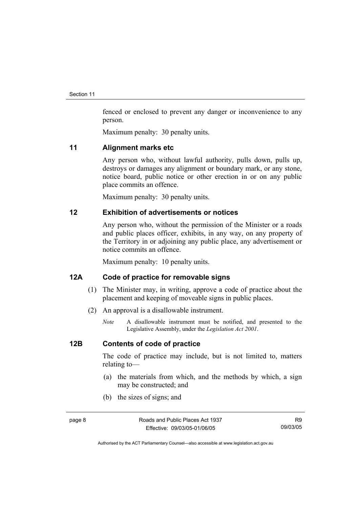fenced or enclosed to prevent any danger or inconvenience to any person.

Maximum penalty: 30 penalty units.

#### **11 Alignment marks etc**

Any person who, without lawful authority, pulls down, pulls up, destroys or damages any alignment or boundary mark, or any stone, notice board, public notice or other erection in or on any public place commits an offence.

Maximum penalty: 30 penalty units.

# **12 Exhibition of advertisements or notices**

Any person who, without the permission of the Minister or a roads and public places officer, exhibits, in any way, on any property of the Territory in or adjoining any public place, any advertisement or notice commits an offence.

Maximum penalty: 10 penalty units.

# **12A Code of practice for removable signs**

- (1) The Minister may, in writing, approve a code of practice about the placement and keeping of moveable signs in public places.
- (2) An approval is a disallowable instrument.
	- *Note* A disallowable instrument must be notified, and presented to the Legislative Assembly, under the *Legislation Act 2001*.

# **12B Contents of code of practice**

The code of practice may include, but is not limited to, matters relating to—

- (a) the materials from which, and the methods by which, a sign may be constructed; and
- (b) the sizes of signs; and

R9 09/03/05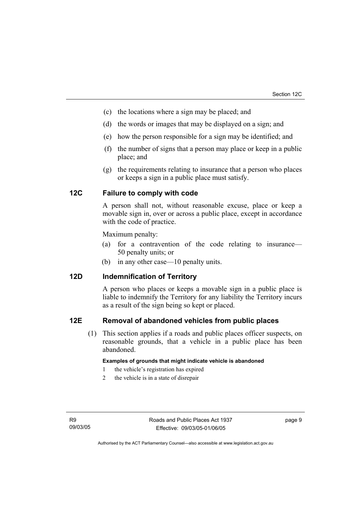- (c) the locations where a sign may be placed; and
- (d) the words or images that may be displayed on a sign; and
- (e) how the person responsible for a sign may be identified; and
- (f) the number of signs that a person may place or keep in a public place; and
- (g) the requirements relating to insurance that a person who places or keeps a sign in a public place must satisfy.

# **12C Failure to comply with code**

A person shall not, without reasonable excuse, place or keep a movable sign in, over or across a public place, except in accordance with the code of practice.

Maximum penalty:

- (a) for a contravention of the code relating to insurance— 50 penalty units; or
- (b) in any other case—10 penalty units.

## **12D Indemnification of Territory**

A person who places or keeps a movable sign in a public place is liable to indemnify the Territory for any liability the Territory incurs as a result of the sign being so kept or placed.

#### **12E Removal of abandoned vehicles from public places**

 (1) This section applies if a roads and public places officer suspects, on reasonable grounds, that a vehicle in a public place has been abandoned.

#### **Examples of grounds that might indicate vehicle is abandoned**

- 1 the vehicle's registration has expired
- 2 the vehicle is in a state of disrepair

page 9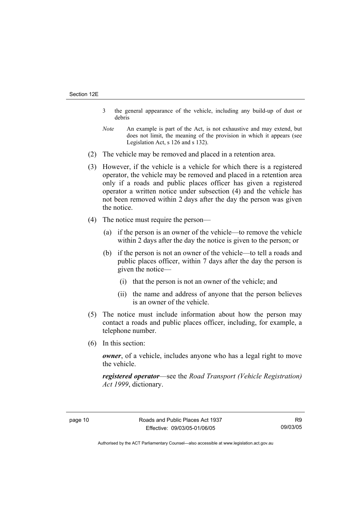- 3 the general appearance of the vehicle, including any build-up of dust or debris
- *Note* An example is part of the Act, is not exhaustive and may extend, but does not limit, the meaning of the provision in which it appears (see Legislation Act, s 126 and s 132).
- (2) The vehicle may be removed and placed in a retention area.
- (3) However, if the vehicle is a vehicle for which there is a registered operator, the vehicle may be removed and placed in a retention area only if a roads and public places officer has given a registered operator a written notice under subsection (4) and the vehicle has not been removed within 2 days after the day the person was given the notice.
- (4) The notice must require the person—
	- (a) if the person is an owner of the vehicle—to remove the vehicle within 2 days after the day the notice is given to the person; or
	- (b) if the person is not an owner of the vehicle—to tell a roads and public places officer, within 7 days after the day the person is given the notice—
		- (i) that the person is not an owner of the vehicle; and
		- (ii) the name and address of anyone that the person believes is an owner of the vehicle.
- (5) The notice must include information about how the person may contact a roads and public places officer, including, for example, a telephone number.
- (6) In this section:

*owner*, of a vehicle, includes anyone who has a legal right to move the vehicle.

*registered operator*—see the *Road Transport (Vehicle Registration) Act 1999*, dictionary.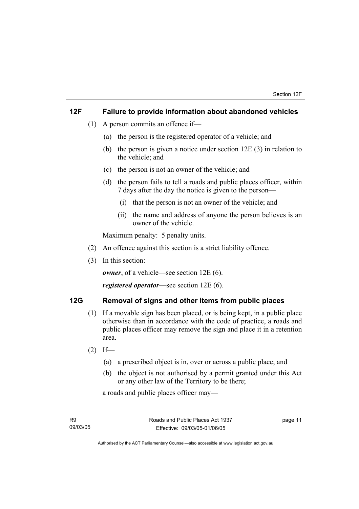# **12F Failure to provide information about abandoned vehicles**

- (1) A person commits an offence if—
	- (a) the person is the registered operator of a vehicle; and
	- (b) the person is given a notice under section 12E (3) in relation to the vehicle; and
	- (c) the person is not an owner of the vehicle; and
	- (d) the person fails to tell a roads and public places officer, within 7 days after the day the notice is given to the person—
		- (i) that the person is not an owner of the vehicle; and
		- (ii) the name and address of anyone the person believes is an owner of the vehicle.

Maximum penalty: 5 penalty units.

- (2) An offence against this section is a strict liability offence.
- (3) In this section:

*owner*, of a vehicle—see section 12E (6).

*registered operator*—see section 12E (6).

# **12G Removal of signs and other items from public places**

- (1) If a movable sign has been placed, or is being kept, in a public place otherwise than in accordance with the code of practice, a roads and public places officer may remove the sign and place it in a retention area.
- $(2)$  If—
	- (a) a prescribed object is in, over or across a public place; and
	- (b) the object is not authorised by a permit granted under this Act or any other law of the Territory to be there;

a roads and public places officer may—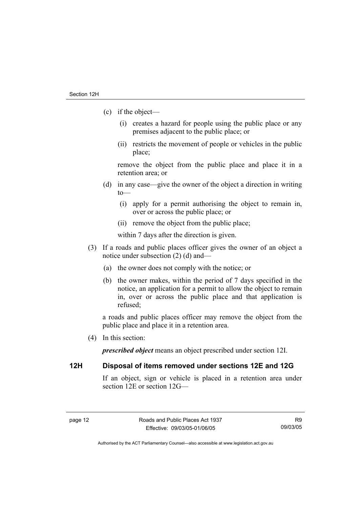- (c) if the object—
	- (i) creates a hazard for people using the public place or any premises adjacent to the public place; or
	- (ii) restricts the movement of people or vehicles in the public place;

remove the object from the public place and place it in a retention area; or

- (d) in any case—give the owner of the object a direction in writing to—
	- (i) apply for a permit authorising the object to remain in, over or across the public place; or
	- (ii) remove the object from the public place;

within 7 days after the direction is given.

- (3) If a roads and public places officer gives the owner of an object a notice under subsection (2) (d) and—
	- (a) the owner does not comply with the notice; or
	- (b) the owner makes, within the period of 7 days specified in the notice, an application for a permit to allow the object to remain in, over or across the public place and that application is refused;

a roads and public places officer may remove the object from the public place and place it in a retention area.

(4) In this section:

*prescribed object* means an object prescribed under section 12I.

# **12H Disposal of items removed under sections 12E and 12G**

If an object, sign or vehicle is placed in a retention area under section 12E or section 12G—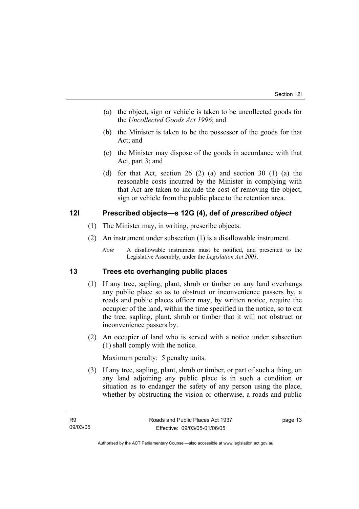- (a) the object, sign or vehicle is taken to be uncollected goods for the *Uncollected Goods Act 1996*; and
- (b) the Minister is taken to be the possessor of the goods for that Act; and
- (c) the Minister may dispose of the goods in accordance with that Act, part 3; and
- (d) for that Act, section 26 (2) (a) and section 30 (1) (a) the reasonable costs incurred by the Minister in complying with that Act are taken to include the cost of removing the object, sign or vehicle from the public place to the retention area.

# **12I Prescribed objects—s 12G (4), def of** *prescribed object*

- (1) The Minister may, in writing, prescribe objects.
- (2) An instrument under subsection (1) is a disallowable instrument.
	- *Note* A disallowable instrument must be notified, and presented to the Legislative Assembly, under the *Legislation Act 2001*.

# **13 Trees etc overhanging public places**

- (1) If any tree, sapling, plant, shrub or timber on any land overhangs any public place so as to obstruct or inconvenience passers by, a roads and public places officer may, by written notice, require the occupier of the land, within the time specified in the notice, so to cut the tree, sapling, plant, shrub or timber that it will not obstruct or inconvenience passers by.
- (2) An occupier of land who is served with a notice under subsection (1) shall comply with the notice.

Maximum penalty: 5 penalty units.

 (3) If any tree, sapling, plant, shrub or timber, or part of such a thing, on any land adjoining any public place is in such a condition or situation as to endanger the safety of any person using the place, whether by obstructing the vision or otherwise, a roads and public

page 13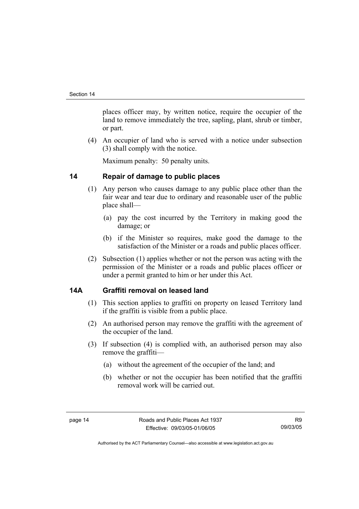places officer may, by written notice, require the occupier of the land to remove immediately the tree, sapling, plant, shrub or timber, or part.

 (4) An occupier of land who is served with a notice under subsection (3) shall comply with the notice.

Maximum penalty: 50 penalty units.

# **14 Repair of damage to public places**

- (1) Any person who causes damage to any public place other than the fair wear and tear due to ordinary and reasonable user of the public place shall—
	- (a) pay the cost incurred by the Territory in making good the damage; or
	- (b) if the Minister so requires, make good the damage to the satisfaction of the Minister or a roads and public places officer.
- (2) Subsection (1) applies whether or not the person was acting with the permission of the Minister or a roads and public places officer or under a permit granted to him or her under this Act.

# **14A Graffiti removal on leased land**

- (1) This section applies to graffiti on property on leased Territory land if the graffiti is visible from a public place.
- (2) An authorised person may remove the graffiti with the agreement of the occupier of the land.
- (3) If subsection (4) is complied with, an authorised person may also remove the graffiti—
	- (a) without the agreement of the occupier of the land; and
	- (b) whether or not the occupier has been notified that the graffiti removal work will be carried out.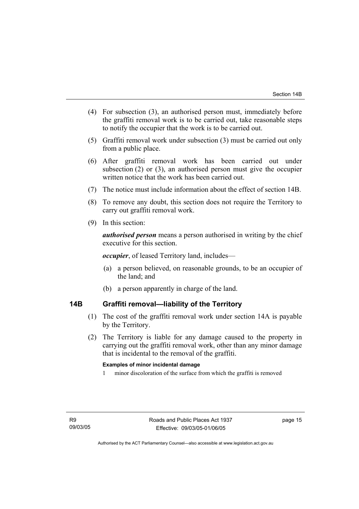- (4) For subsection (3), an authorised person must, immediately before the graffiti removal work is to be carried out, take reasonable steps to notify the occupier that the work is to be carried out.
- (5) Graffiti removal work under subsection (3) must be carried out only from a public place.
- (6) After graffiti removal work has been carried out under subsection (2) or (3), an authorised person must give the occupier written notice that the work has been carried out.
- (7) The notice must include information about the effect of section 14B.
- (8) To remove any doubt, this section does not require the Territory to carry out graffiti removal work.
- (9) In this section:

*authorised person* means a person authorised in writing by the chief executive for this section.

*occupier*, of leased Territory land, includes—

- (a) a person believed, on reasonable grounds, to be an occupier of the land; and
- (b) a person apparently in charge of the land.

# **14B Graffiti removal—liability of the Territory**

- (1) The cost of the graffiti removal work under section 14A is payable by the Territory.
- (2) The Territory is liable for any damage caused to the property in carrying out the graffiti removal work, other than any minor damage that is incidental to the removal of the graffiti.

#### **Examples of minor incidental damage**

1 minor discoloration of the surface from which the graffiti is removed

page 15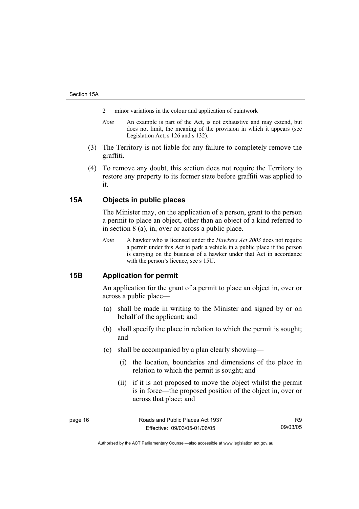- 2 minor variations in the colour and application of paintwork
- *Note* An example is part of the Act, is not exhaustive and may extend, but does not limit, the meaning of the provision in which it appears (see Legislation Act, s 126 and s 132).
- (3) The Territory is not liable for any failure to completely remove the graffiti.
- (4) To remove any doubt, this section does not require the Territory to restore any property to its former state before graffiti was applied to it.

# **15A Objects in public places**

The Minister may, on the application of a person, grant to the person a permit to place an object, other than an object of a kind referred to in section 8 (a), in, over or across a public place.

*Note* A hawker who is licensed under the *Hawkers Act 2003* does not require a permit under this Act to park a vehicle in a public place if the person is carrying on the business of a hawker under that Act in accordance with the person's licence, see s 15U.

# **15B Application for permit**

An application for the grant of a permit to place an object in, over or across a public place—

- (a) shall be made in writing to the Minister and signed by or on behalf of the applicant; and
- (b) shall specify the place in relation to which the permit is sought; and
- (c) shall be accompanied by a plan clearly showing—
	- (i) the location, boundaries and dimensions of the place in relation to which the permit is sought; and
	- (ii) if it is not proposed to move the object whilst the permit is in force—the proposed position of the object in, over or across that place; and

page 16 **Roads** and Public Places Act 1937 Effective: 09/03/05-01/06/05

R9 09/03/05

Authorised by the ACT Parliamentary Counsel—also accessible at www.legislation.act.gov.au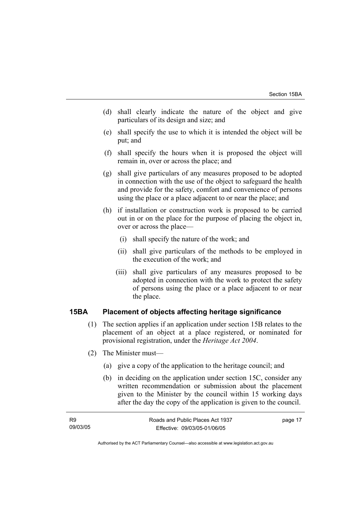- (d) shall clearly indicate the nature of the object and give particulars of its design and size; and
- (e) shall specify the use to which it is intended the object will be put; and
- (f) shall specify the hours when it is proposed the object will remain in, over or across the place; and
- (g) shall give particulars of any measures proposed to be adopted in connection with the use of the object to safeguard the health and provide for the safety, comfort and convenience of persons using the place or a place adjacent to or near the place; and
- (h) if installation or construction work is proposed to be carried out in or on the place for the purpose of placing the object in, over or across the place—
	- (i) shall specify the nature of the work; and
	- (ii) shall give particulars of the methods to be employed in the execution of the work; and
	- (iii) shall give particulars of any measures proposed to be adopted in connection with the work to protect the safety of persons using the place or a place adjacent to or near the place.

# **15BA Placement of objects affecting heritage significance**

- (1) The section applies if an application under section 15B relates to the placement of an object at a place registered, or nominated for provisional registration, under the *Heritage Act 2004*.
- (2) The Minister must—
	- (a) give a copy of the application to the heritage council; and
	- (b) in deciding on the application under section 15C, consider any written recommendation or submission about the placement given to the Minister by the council within 15 working days after the day the copy of the application is given to the council.

| R9       | Roads and Public Places Act 1937 | page 17 |
|----------|----------------------------------|---------|
| 09/03/05 | Effective: 09/03/05-01/06/05     |         |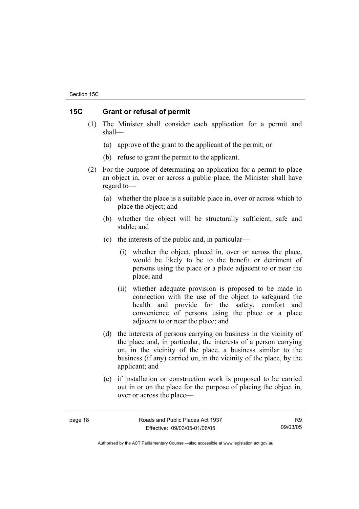# **15C Grant or refusal of permit**

- (1) The Minister shall consider each application for a permit and shall—
	- (a) approve of the grant to the applicant of the permit; or
	- (b) refuse to grant the permit to the applicant.
- (2) For the purpose of determining an application for a permit to place an object in, over or across a public place, the Minister shall have regard to—
	- (a) whether the place is a suitable place in, over or across which to place the object; and
	- (b) whether the object will be structurally sufficient, safe and stable; and
	- (c) the interests of the public and, in particular—
		- (i) whether the object, placed in, over or across the place, would be likely to be to the benefit or detriment of persons using the place or a place adjacent to or near the place; and
		- (ii) whether adequate provision is proposed to be made in connection with the use of the object to safeguard the health and provide for the safety, comfort and convenience of persons using the place or a place adjacent to or near the place; and
	- (d) the interests of persons carrying on business in the vicinity of the place and, in particular, the interests of a person carrying on, in the vicinity of the place, a business similar to the business (if any) carried on, in the vicinity of the place, by the applicant; and
	- (e) if installation or construction work is proposed to be carried out in or on the place for the purpose of placing the object in, over or across the place—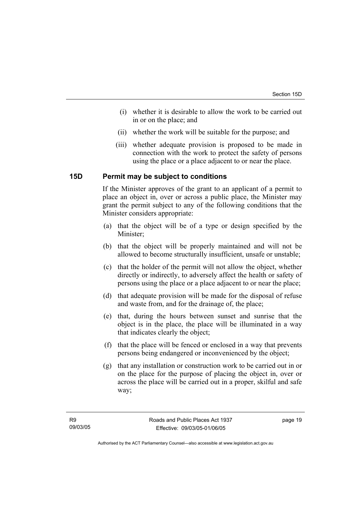- (i) whether it is desirable to allow the work to be carried out in or on the place; and
- (ii) whether the work will be suitable for the purpose; and
- (iii) whether adequate provision is proposed to be made in connection with the work to protect the safety of persons using the place or a place adjacent to or near the place.

# **15D Permit may be subject to conditions**

If the Minister approves of the grant to an applicant of a permit to place an object in, over or across a public place, the Minister may grant the permit subject to any of the following conditions that the Minister considers appropriate:

- (a) that the object will be of a type or design specified by the Minister;
- (b) that the object will be properly maintained and will not be allowed to become structurally insufficient, unsafe or unstable;
- (c) that the holder of the permit will not allow the object, whether directly or indirectly, to adversely affect the health or safety of persons using the place or a place adjacent to or near the place;
- (d) that adequate provision will be made for the disposal of refuse and waste from, and for the drainage of, the place;
- (e) that, during the hours between sunset and sunrise that the object is in the place, the place will be illuminated in a way that indicates clearly the object;
- (f) that the place will be fenced or enclosed in a way that prevents persons being endangered or inconvenienced by the object;
- (g) that any installation or construction work to be carried out in or on the place for the purpose of placing the object in, over or across the place will be carried out in a proper, skilful and safe way;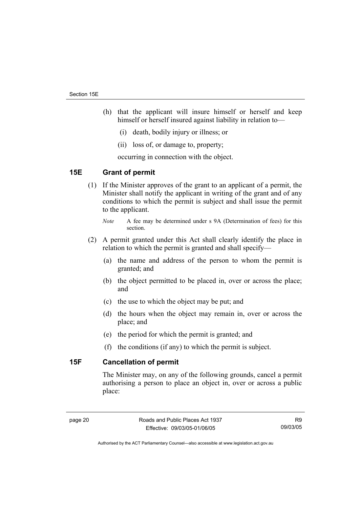- (h) that the applicant will insure himself or herself and keep himself or herself insured against liability in relation to—
	- (i) death, bodily injury or illness; or
	- (ii) loss of, or damage to, property;

occurring in connection with the object.

## **15E Grant of permit**

 (1) If the Minister approves of the grant to an applicant of a permit, the Minister shall notify the applicant in writing of the grant and of any conditions to which the permit is subject and shall issue the permit to the applicant.

- (2) A permit granted under this Act shall clearly identify the place in relation to which the permit is granted and shall specify—
	- (a) the name and address of the person to whom the permit is granted; and
	- (b) the object permitted to be placed in, over or across the place; and
	- (c) the use to which the object may be put; and
	- (d) the hours when the object may remain in, over or across the place; and
	- (e) the period for which the permit is granted; and
	- (f) the conditions (if any) to which the permit is subject.

# **15F Cancellation of permit**

The Minister may, on any of the following grounds, cancel a permit authorising a person to place an object in, over or across a public place:

R9 09/03/05

*Note* A fee may be determined under s 9A (Determination of fees) for this section.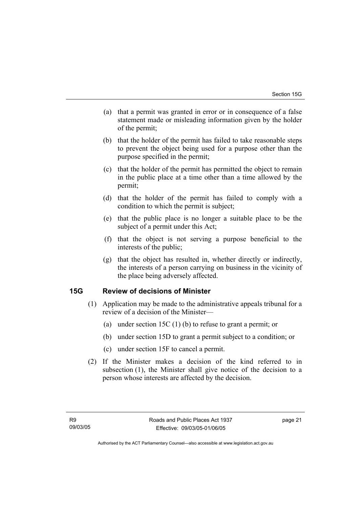- (a) that a permit was granted in error or in consequence of a false statement made or misleading information given by the holder of the permit;
- (b) that the holder of the permit has failed to take reasonable steps to prevent the object being used for a purpose other than the purpose specified in the permit;
- (c) that the holder of the permit has permitted the object to remain in the public place at a time other than a time allowed by the permit;
- (d) that the holder of the permit has failed to comply with a condition to which the permit is subject;
- (e) that the public place is no longer a suitable place to be the subject of a permit under this Act;
- (f) that the object is not serving a purpose beneficial to the interests of the public;
- (g) that the object has resulted in, whether directly or indirectly, the interests of a person carrying on business in the vicinity of the place being adversely affected.

# **15G Review of decisions of Minister**

- (1) Application may be made to the administrative appeals tribunal for a review of a decision of the Minister—
	- (a) under section 15C (1) (b) to refuse to grant a permit; or
	- (b) under section 15D to grant a permit subject to a condition; or
	- (c) under section 15F to cancel a permit.
- (2) If the Minister makes a decision of the kind referred to in subsection (1), the Minister shall give notice of the decision to a person whose interests are affected by the decision.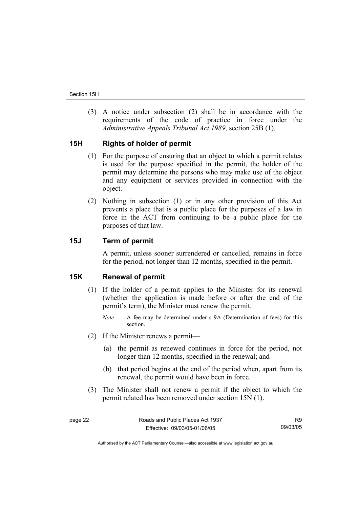(3) A notice under subsection (2) shall be in accordance with the requirements of the code of practice in force under the *Administrative Appeals Tribunal Act 1989*, section 25B (1).

# **15H Rights of holder of permit**

- (1) For the purpose of ensuring that an object to which a permit relates is used for the purpose specified in the permit, the holder of the permit may determine the persons who may make use of the object and any equipment or services provided in connection with the object.
- (2) Nothing in subsection (1) or in any other provision of this Act prevents a place that is a public place for the purposes of a law in force in the ACT from continuing to be a public place for the purposes of that law.

## **15J Term of permit**

A permit, unless sooner surrendered or cancelled, remains in force for the period, not longer than 12 months, specified in the permit.

#### **15K Renewal of permit**

- (1) If the holder of a permit applies to the Minister for its renewal (whether the application is made before or after the end of the permit's term), the Minister must renew the permit.
	- *Note* A fee may be determined under s 9A (Determination of fees) for this section.
- (2) If the Minister renews a permit—
	- (a) the permit as renewed continues in force for the period, not longer than 12 months, specified in the renewal; and
	- (b) that period begins at the end of the period when, apart from its renewal, the permit would have been in force.
- (3) The Minister shall not renew a permit if the object to which the permit related has been removed under section 15N (1).

R9 09/03/05

Authorised by the ACT Parliamentary Counsel—also accessible at www.legislation.act.gov.au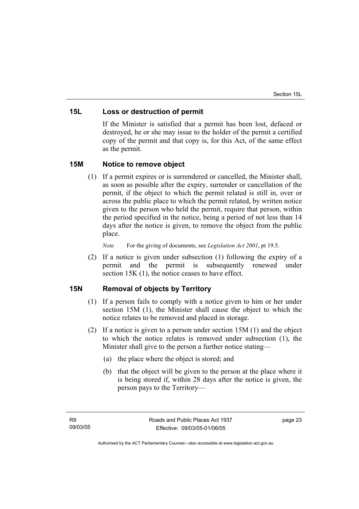## **15L Loss or destruction of permit**

If the Minister is satisfied that a permit has been lost, defaced or destroyed, he or she may issue to the holder of the permit a certified copy of the permit and that copy is, for this Act, of the same effect as the permit.

# **15M Notice to remove object**

 (1) If a permit expires or is surrendered or cancelled, the Minister shall, as soon as possible after the expiry, surrender or cancellation of the permit, if the object to which the permit related is still in, over or across the public place to which the permit related, by written notice given to the person who held the permit, require that person, within the period specified in the notice, being a period of not less than 14 days after the notice is given, to remove the object from the public place.

*Note* For the giving of documents, see *Legislation Act 2001*, pt 19.5.

 (2) If a notice is given under subsection (1) following the expiry of a permit and the permit is subsequently renewed under section 15K (1), the notice ceases to have effect.

# **15N Removal of objects by Territory**

- (1) If a person fails to comply with a notice given to him or her under section 15M (1), the Minister shall cause the object to which the notice relates to be removed and placed in storage.
- (2) If a notice is given to a person under section 15M (1) and the object to which the notice relates is removed under subsection (1), the Minister shall give to the person a further notice stating—
	- (a) the place where the object is stored; and
	- (b) that the object will be given to the person at the place where it is being stored if, within 28 days after the notice is given, the person pays to the Territory—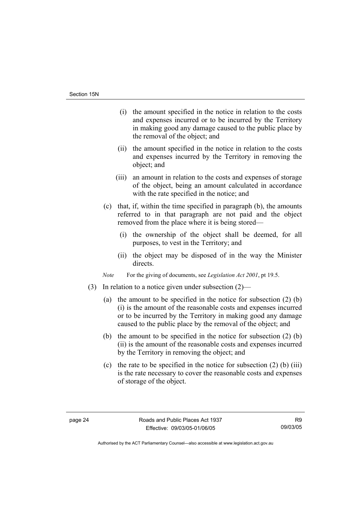- (i) the amount specified in the notice in relation to the costs and expenses incurred or to be incurred by the Territory in making good any damage caused to the public place by the removal of the object; and
- (ii) the amount specified in the notice in relation to the costs and expenses incurred by the Territory in removing the object; and
- (iii) an amount in relation to the costs and expenses of storage of the object, being an amount calculated in accordance with the rate specified in the notice; and
- (c) that, if, within the time specified in paragraph (b), the amounts referred to in that paragraph are not paid and the object removed from the place where it is being stored—
	- (i) the ownership of the object shall be deemed, for all purposes, to vest in the Territory; and
	- (ii) the object may be disposed of in the way the Minister directs.

*Note* For the giving of documents, see *Legislation Act 2001*, pt 19.5.

- (3) In relation to a notice given under subsection (2)—
	- (a) the amount to be specified in the notice for subsection (2) (b) (i) is the amount of the reasonable costs and expenses incurred or to be incurred by the Territory in making good any damage caused to the public place by the removal of the object; and
	- (b) the amount to be specified in the notice for subsection (2) (b) (ii) is the amount of the reasonable costs and expenses incurred by the Territory in removing the object; and
	- (c) the rate to be specified in the notice for subsection  $(2)$  (b) (iii) is the rate necessary to cover the reasonable costs and expenses of storage of the object.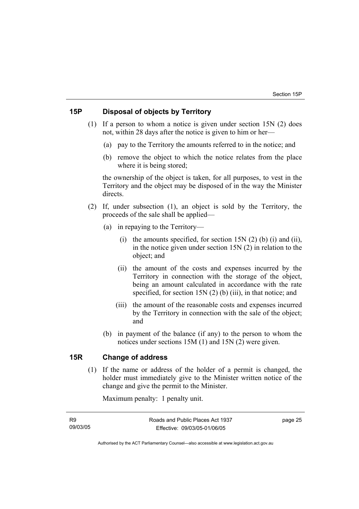## **15P Disposal of objects by Territory**

- (1) If a person to whom a notice is given under section 15N (2) does not, within 28 days after the notice is given to him or her—
	- (a) pay to the Territory the amounts referred to in the notice; and
	- (b) remove the object to which the notice relates from the place where it is being stored;

the ownership of the object is taken, for all purposes, to vest in the Territory and the object may be disposed of in the way the Minister directs.

- (2) If, under subsection (1), an object is sold by the Territory, the proceeds of the sale shall be applied—
	- (a) in repaying to the Territory—
		- (i) the amounts specified, for section  $15N(2)$  (b) (i) and (ii), in the notice given under section 15N (2) in relation to the object; and
		- (ii) the amount of the costs and expenses incurred by the Territory in connection with the storage of the object, being an amount calculated in accordance with the rate specified, for section 15N (2) (b) (iii), in that notice; and
		- (iii) the amount of the reasonable costs and expenses incurred by the Territory in connection with the sale of the object; and
	- (b) in payment of the balance (if any) to the person to whom the notices under sections 15M (1) and 15N (2) were given.

# **15R Change of address**

 (1) If the name or address of the holder of a permit is changed, the holder must immediately give to the Minister written notice of the change and give the permit to the Minister.

Maximum penalty: 1 penalty unit.

R9 09/03/05 page 25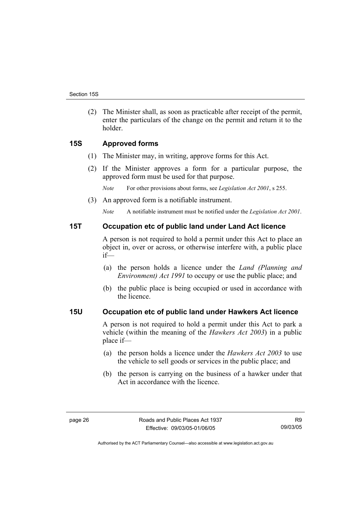(2) The Minister shall, as soon as practicable after receipt of the permit, enter the particulars of the change on the permit and return it to the holder.

# **15S Approved forms**

- (1) The Minister may, in writing, approve forms for this Act.
- (2) If the Minister approves a form for a particular purpose, the approved form must be used for that purpose.

*Note* For other provisions about forms, see *Legislation Act 2001*, s 255.

(3) An approved form is a notifiable instrument.

*Note* A notifiable instrument must be notified under the *Legislation Act 2001*.

#### **15T Occupation etc of public land under Land Act licence**

A person is not required to hold a permit under this Act to place an object in, over or across, or otherwise interfere with, a public place if—

- (a) the person holds a licence under the *Land (Planning and Environment) Act 1991* to occupy or use the public place; and
- (b) the public place is being occupied or used in accordance with the licence.

## **15U Occupation etc of public land under Hawkers Act licence**

A person is not required to hold a permit under this Act to park a vehicle (within the meaning of the *Hawkers Act 2003*) in a public place if—

- (a) the person holds a licence under the *Hawkers Act 2003* to use the vehicle to sell goods or services in the public place; and
- (b) the person is carrying on the business of a hawker under that Act in accordance with the licence.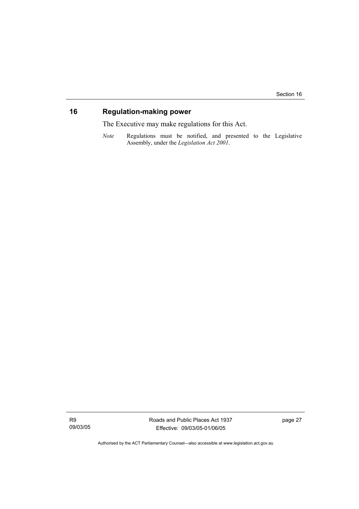# **16 Regulation-making power**

The Executive may make regulations for this Act.

*Note* Regulations must be notified, and presented to the Legislative Assembly, under the *Legislation Act 2001*.

R9 09/03/05 Roads and Public Places Act 1937 Effective: 09/03/05-01/06/05

page 27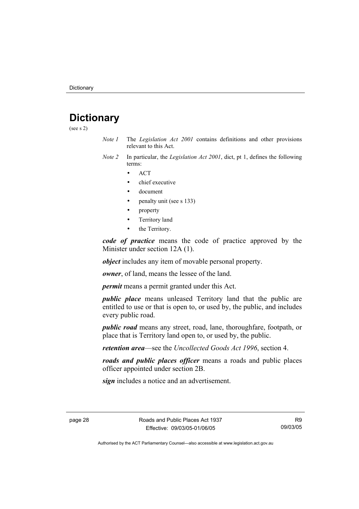# **Dictionary**

(see s 2)

- *Note 1* The *Legislation Act 2001* contains definitions and other provisions relevant to this Act.
- *Note 2* In particular, the *Legislation Act 2001*, dict, pt 1, defines the following terms:
	- ACT
	- chief executive
	- document
	- penalty unit (see s 133)
	- property
	- Territory land
	- the Territory.

*code of practice* means the code of practice approved by the Minister under section 12A (1).

*object* includes any item of movable personal property.

*owner*, of land, means the lessee of the land.

*permit* means a permit granted under this Act.

*public place* means unleased Territory land that the public are entitled to use or that is open to, or used by, the public, and includes every public road.

*public road* means any street, road, lane, thoroughfare, footpath, or place that is Territory land open to, or used by, the public.

*retention area*—see the *Uncollected Goods Act 1996*, section 4.

*roads and public places officer* means a roads and public places officer appointed under section 2B.

*sign* includes a notice and an advertisement.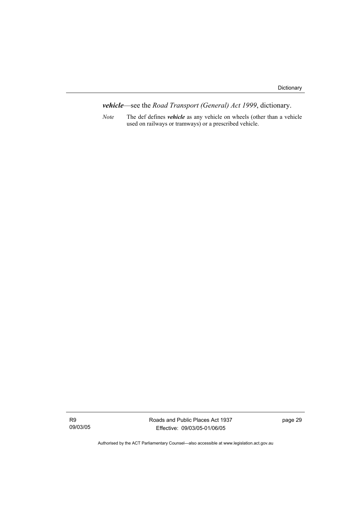*vehicle*—see the *Road Transport (General) Act 1999*, dictionary.

*Note* The def defines *vehicle* as any vehicle on wheels (other than a vehicle used on railways or tramways) or a prescribed vehicle.

R9 09/03/05 Roads and Public Places Act 1937 Effective: 09/03/05-01/06/05

page 29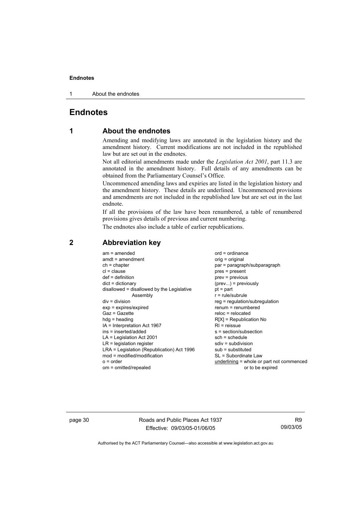1 About the endnotes

# **Endnotes**

# **1 About the endnotes**

Amending and modifying laws are annotated in the legislation history and the amendment history. Current modifications are not included in the republished law but are set out in the endnotes.

Not all editorial amendments made under the *Legislation Act 2001*, part 11.3 are annotated in the amendment history. Full details of any amendments can be obtained from the Parliamentary Counsel's Office.

Uncommenced amending laws and expiries are listed in the legislation history and the amendment history. These details are underlined. Uncommenced provisions and amendments are not included in the republished law but are set out in the last endnote.

If all the provisions of the law have been renumbered, a table of renumbered provisions gives details of previous and current numbering.

The endnotes also include a table of earlier republications.

| $r = rule/subrule$<br>Assembly<br>$div = division$<br>$reg = regulation/subregulation$<br>$renum = renumbered$<br>$exp = expires/expired$<br>$Gaz = Gazette$<br>$reloc = relocated$<br>$R[X]$ = Republication No<br>$hdg =$ heading<br>IA = Interpretation Act 1967<br>$R1$ = reissue<br>ins = inserted/added<br>s = section/subsection<br>$LA =$ Legislation Act 2001<br>$sch = schedule$<br>$LR =$ legislation register<br>$sdiv = subdivision$<br>LRA = Legislation (Republication) Act 1996<br>$sub =$ substituted<br>$mod = modified/modification$<br>SL = Subordinate Law<br>underlining = whole or part not commenced<br>$o = order$ |
|---------------------------------------------------------------------------------------------------------------------------------------------------------------------------------------------------------------------------------------------------------------------------------------------------------------------------------------------------------------------------------------------------------------------------------------------------------------------------------------------------------------------------------------------------------------------------------------------------------------------------------------------|
| or to be expired<br>om = omitted/repealed                                                                                                                                                                                                                                                                                                                                                                                                                                                                                                                                                                                                   |

#### **2 Abbreviation key**

page 30 Roads and Public Places Act 1937 Effective: 09/03/05-01/06/05

R9 09/03/05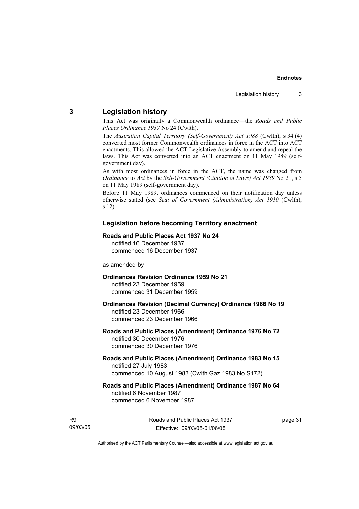# **3 Legislation history**

This Act was originally a Commonwealth ordinance—the *Roads and Public Places Ordinance 1937* No 24 (Cwlth).

The *Australian Capital Territory (Self-Government) Act 1988* (Cwlth), s 34 (4) converted most former Commonwealth ordinances in force in the ACT into ACT enactments. This allowed the ACT Legislative Assembly to amend and repeal the laws. This Act was converted into an ACT enactment on 11 May 1989 (selfgovernment day).

As with most ordinances in force in the ACT, the name was changed from *Ordinance* to *Act* by the *Self-Government (Citation of Laws) Act 1989* No 21, s 5 on 11 May 1989 (self-government day).

Before 11 May 1989, ordinances commenced on their notification day unless otherwise stated (see *Seat of Government (Administration) Act 1910* (Cwlth), s 12).

#### **Legislation before becoming Territory enactment**

#### **Roads and Public Places Act 1937 No 24**

notified 16 December 1937 commenced 16 December 1937

#### as amended by

### **Ordinances Revision Ordinance 1959 No 21**  notified 23 December 1959

commenced 31 December 1959

#### **Ordinances Revision (Decimal Currency) Ordinance 1966 No 19**  notified 23 December 1966 commenced 23 December 1966

#### **Roads and Public Places (Amendment) Ordinance 1976 No 72**  notified 30 December 1976 commenced 30 December 1976

#### **Roads and Public Places (Amendment) Ordinance 1983 No 15**  notified 27 July 1983 commenced 10 August 1983 (Cwlth Gaz 1983 No S172)

#### **Roads and Public Places (Amendment) Ordinance 1987 No 64**  notified 6 November 1987 commenced 6 November 1987

R9 09/03/05 page 31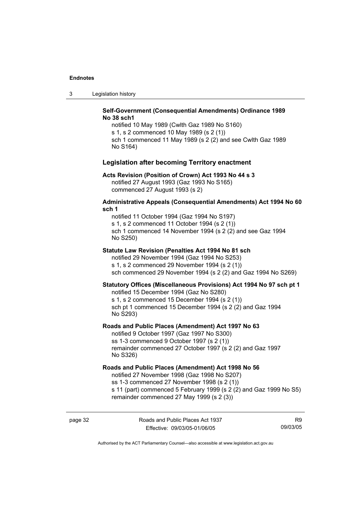3 Legislation history

#### **Self-Government (Consequential Amendments) Ordinance 1989 No 38 sch1**

notified 10 May 1989 (Cwlth Gaz 1989 No S160) s 1, s 2 commenced 10 May 1989 (s 2 (1)) sch 1 commenced 11 May 1989 (s 2 (2) and see Cwlth Gaz 1989 No S164)

#### **Legislation after becoming Territory enactment**

#### **Acts Revision (Position of Crown) Act 1993 No 44 s 3**

notified 27 August 1993 (Gaz 1993 No S165) commenced 27 August 1993 (s 2)

#### **Administrative Appeals (Consequential Amendments) Act 1994 No 60 sch 1**

notified 11 October 1994 (Gaz 1994 No S197) s 1, s 2 commenced 11 October 1994 (s 2 (1)) sch 1 commenced 14 November 1994 (s 2 (2) and see Gaz 1994 No S250)

#### **Statute Law Revision (Penalties Act 1994 No 81 sch**

notified 29 November 1994 (Gaz 1994 No S253) s 1, s 2 commenced 29 November 1994 (s 2 (1)) sch commenced 29 November 1994 (s 2 (2) and Gaz 1994 No S269)

#### **Statutory Offices (Miscellaneous Provisions) Act 1994 No 97 sch pt 1**

notified 15 December 1994 (Gaz No S280)

s 1, s 2 commenced 15 December 1994 (s 2 (1)) sch pt 1 commenced 15 December 1994 (s 2 (2) and Gaz 1994 No S293)

#### **Roads and Public Places (Amendment) Act 1997 No 63**

notified 9 October 1997 (Gaz 1997 No S300) ss 1-3 commenced 9 October 1997 (s 2 (1)) remainder commenced 27 October 1997 (s 2 (2) and Gaz 1997 No S326)

#### **Roads and Public Places (Amendment) Act 1998 No 56**

notified 27 November 1998 (Gaz 1998 No S207) ss 1-3 commenced 27 November 1998 (s 2 (1)) s 11 (part) commenced 5 February 1999 (s 2 (2) and Gaz 1999 No S5) remainder commenced 27 May 1999 (s 2 (3))

R9 09/03/05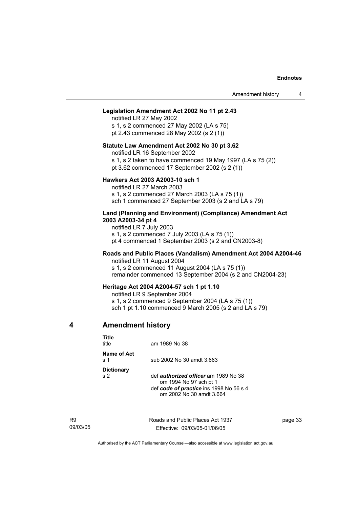#### **Legislation Amendment Act 2002 No 11 pt 2.43**

notified LR 27 May 2002 s 1, s 2 commenced 27 May 2002 (LA s 75) pt 2.43 commenced 28 May 2002 (s 2 (1))

#### **Statute Law Amendment Act 2002 No 30 pt 3.62**

notified LR 16 September 2002

s 1, s 2 taken to have commenced 19 May 1997 (LA s 75 (2))

pt 3.62 commenced 17 September 2002 (s 2 (1))

#### **Hawkers Act 2003 A2003-10 sch 1**

notified LR 27 March 2003 s 1, s 2 commenced 27 March 2003 (LA s 75 (1)) sch 1 commenced 27 September 2003 (s 2 and LA s 79)

#### **Land (Planning and Environment) (Compliance) Amendment Act 2003 A2003-34 pt 4**

notified LR 7 July 2003 s 1, s 2 commenced 7 July 2003 (LA s 75 (1)) pt 4 commenced 1 September 2003 (s 2 and CN2003-8)

#### **Roads and Public Places (Vandalism) Amendment Act 2004 A2004-46**  notified LR 11 August 2004

s 1, s 2 commenced 11 August 2004 (LA s 75 (1))

remainder commenced 13 September 2004 (s 2 and CN2004-23)

#### **Heritage Act 2004 A2004-57 sch 1 pt 1.10**

notified LR 9 September 2004

s 1, s 2 commenced 9 September 2004 (LA s 75 (1))

sch 1 pt 1.10 commenced 9 March 2005 (s 2 and LA s 79)

#### **4 Amendment history**

| Title<br>title                             | am 1989 No 38                                                                                                                                |
|--------------------------------------------|----------------------------------------------------------------------------------------------------------------------------------------------|
| Name of Act<br>$\boldsymbol{\mathsf{s}}$ 1 | sub 2002 No 30 amdt 3.663                                                                                                                    |
| <b>Dictionary</b><br>s <sub>2</sub>        | def <i>authorized officer</i> am 1989 No 38<br>om 1994 No 97 sch pt 1<br>def code of practice ins 1998 No 56 s 4<br>om 2002 No 30 amdt 3.664 |

R9 09/03/05 Roads and Public Places Act 1937 Effective: 09/03/05-01/06/05

page 33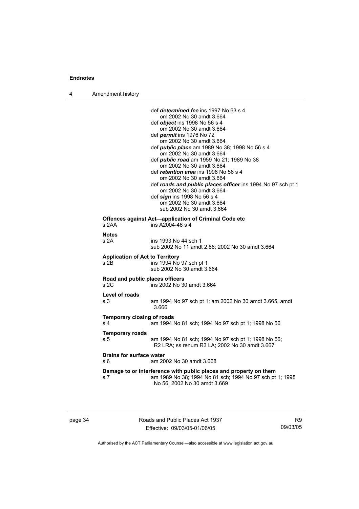| 4 | Amendment history                                   |                                                                                                                                                                                                                                                                                                                                                                                                                                                                                                                                                                                                                                    |
|---|-----------------------------------------------------|------------------------------------------------------------------------------------------------------------------------------------------------------------------------------------------------------------------------------------------------------------------------------------------------------------------------------------------------------------------------------------------------------------------------------------------------------------------------------------------------------------------------------------------------------------------------------------------------------------------------------------|
|   |                                                     | def <i>determined fee</i> ins 1997 No 63 s 4<br>om 2002 No 30 amdt 3.664<br>def <i>object</i> ins 1998 No 56 s 4<br>om 2002 No 30 amdt 3.664<br>def permit ins 1976 No 72<br>om 2002 No 30 amdt 3.664<br>def <i>public place</i> am 1989 No 38; 1998 No 56 s 4<br>om 2002 No 30 amdt 3.664<br>def public road am 1959 No 21; 1989 No 38<br>om 2002 No 30 amdt 3.664<br>def <i>retention area</i> ins 1998 No 56 s 4<br>om 2002 No 30 amdt 3.664<br>def roads and public places officer ins 1994 No 97 sch pt 1<br>om 2002 No 30 amdt 3.664<br>def sign ins 1998 No 56 s 4<br>om 2002 No 30 amdt 3.664<br>sub 2002 No 30 amdt 3.664 |
|   | s 2AA                                               | Offences against Act—application of Criminal Code etc<br>ins A2004-46 s 4                                                                                                                                                                                                                                                                                                                                                                                                                                                                                                                                                          |
|   | <b>Notes</b><br>s 2A                                | ins 1993 No 44 sch 1<br>sub 2002 No 11 amdt 2.88; 2002 No 30 amdt 3.664                                                                                                                                                                                                                                                                                                                                                                                                                                                                                                                                                            |
|   | <b>Application of Act to Territory</b><br>s 2B      | ins 1994 No 97 sch pt 1<br>sub 2002 No 30 amdt 3.664                                                                                                                                                                                                                                                                                                                                                                                                                                                                                                                                                                               |
|   | Road and public places officers<br>s 2C             | ins 2002 No 30 amdt 3.664                                                                                                                                                                                                                                                                                                                                                                                                                                                                                                                                                                                                          |
|   | Level of roads<br>s 3                               | am 1994 No 97 sch pt 1; am 2002 No 30 amdt 3.665, amdt<br>3.666                                                                                                                                                                                                                                                                                                                                                                                                                                                                                                                                                                    |
|   | <b>Temporary closing of roads</b><br>s <sub>4</sub> | am 1994 No 81 sch; 1994 No 97 sch pt 1; 1998 No 56                                                                                                                                                                                                                                                                                                                                                                                                                                                                                                                                                                                 |
|   | <b>Temporary roads</b><br>s 5                       | am 1994 No 81 sch; 1994 No 97 sch pt 1; 1998 No 56;<br>R2 LRA; ss renum R3 LA; 2002 No 30 amdt 3.667                                                                                                                                                                                                                                                                                                                                                                                                                                                                                                                               |
|   | <b>Drains for surface water</b><br>s 6              | am 2002 No 30 amdt 3.668                                                                                                                                                                                                                                                                                                                                                                                                                                                                                                                                                                                                           |
|   | s 7                                                 | Damage to or interference with public places and property on them<br>am 1989 No 38; 1994 No 81 sch; 1994 No 97 sch pt 1; 1998<br>No 56; 2002 No 30 amdt 3.669                                                                                                                                                                                                                                                                                                                                                                                                                                                                      |

page 34 Roads and Public Places Act 1937 Effective: 09/03/05-01/06/05

R9 09/03/05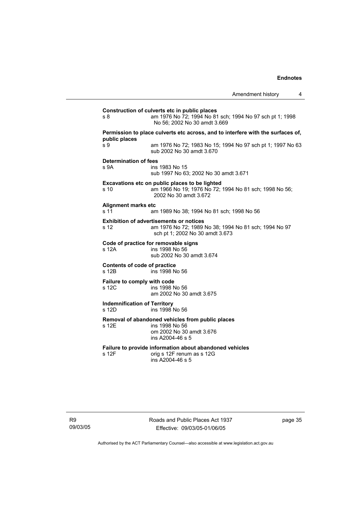| s 8                                          | Construction of culverts etc in public places<br>am 1976 No 72; 1994 No 81 sch; 1994 No 97 sch pt 1; 1998<br>No 56: 2002 No 30 amdt 3.669  |
|----------------------------------------------|--------------------------------------------------------------------------------------------------------------------------------------------|
|                                              | Permission to place culverts etc across, and to interfere with the surfaces of,                                                            |
| public places<br>s 9                         | am 1976 No 72; 1983 No 15; 1994 No 97 sch pt 1; 1997 No 63<br>sub 2002 No 30 amdt 3.670                                                    |
| Determination of fees<br>s <sub>9A</sub>     | ins 1983 No 15<br>sub 1997 No 63; 2002 No 30 amdt 3.671                                                                                    |
| s 10                                         | Excavations etc on public places to be lighted<br>am 1966 No 19; 1976 No 72; 1994 No 81 sch; 1998 No 56;<br>2002 No 30 amdt 3.672          |
| <b>Alignment marks etc</b><br>s 11           | am 1989 No 38; 1994 No 81 sch; 1998 No 56                                                                                                  |
| s 12                                         | <b>Exhibition of advertisements or notices</b><br>am 1976 No 72; 1989 No 38; 1994 No 81 sch; 1994 No 97<br>sch pt 1; 2002 No 30 amdt 3.673 |
| s 12A                                        | Code of practice for removable signs<br>ins 1998 No 56<br>sub 2002 No 30 amdt 3.674                                                        |
| Contents of code of practice<br>s 12B        | ins 1998 No 56                                                                                                                             |
| Failure to comply with code<br>s 12C         | ins 1998 No 56<br>am 2002 No 30 amdt 3.675                                                                                                 |
| <b>Indemnification of Territory</b><br>s 12D | ins 1998 No 56                                                                                                                             |
| s 12E                                        | Removal of abandoned vehicles from public places<br>ins 1998 No 56<br>om 2002 No 30 amdt 3.676<br>ins A2004-46 s 5                         |
| s 12F                                        | Failure to provide information about abandoned vehicles<br>orig s 12F renum as s 12G<br>ins A2004-46 s 5                                   |

Roads and Public Places Act 1937 Effective: 09/03/05-01/06/05

page 35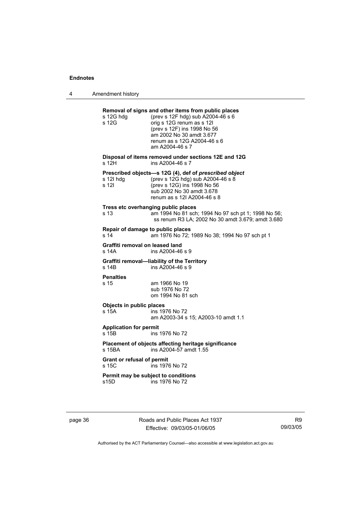4 Amendment history

| s 12G hdg<br>s 12G       | Removal of signs and other items from public places<br>(prev s 12F hdg) sub A2004-46 s 6<br>orig s 12G renum as s 12I<br>(prev s 12F) ins 1998 No 56<br>am 2002 No 30 amdt 3.677<br>renum as s 12G A2004-46 s 6<br>am A2004-46 s 7 |
|--------------------------|------------------------------------------------------------------------------------------------------------------------------------------------------------------------------------------------------------------------------------|
| s 12H                    | Disposal of items removed under sections 12E and 12G<br>ins A2004-46 s 7                                                                                                                                                           |
| s 12l hdg<br>s 12l       | Prescribed objects-s 12G (4), def of prescribed object<br>(prev s 12G hdg) sub A2004-46 s 8<br>(prev s 12G) ins 1998 No 56<br>sub 2002 No 30 amdt 3.678<br>renum as s 12I A2004-46 s 8                                             |
| s <sub>13</sub>          | Tress etc overhanging public places<br>am 1994 No 81 sch; 1994 No 97 sch pt 1; 1998 No 56;<br>ss renum R3 LA; 2002 No 30 amdt 3.679; amdt 3.680                                                                                    |
| s 14                     | Repair of damage to public places<br>am 1976 No 72; 1989 No 38; 1994 No 97 sch pt 1                                                                                                                                                |
| s 14A                    | Graffiti removal on leased land<br>ins A2004-46 s 9                                                                                                                                                                                |
| s 14B                    | Graffiti removal-liability of the Territory<br>ins A2004-46 s 9                                                                                                                                                                    |
| <b>Penalties</b><br>s 15 | am 1966 No 19<br>sub 1976 No 72<br>om 1994 No 81 sch                                                                                                                                                                               |
| s 15A                    | Objects in public places<br>ins 1976 No 72<br>am A2003-34 s 15; A2003-10 amdt 1.1                                                                                                                                                  |
| s 15 <sub>B</sub>        | <b>Application for permit</b><br>ins 1976 No 72                                                                                                                                                                                    |
| s 15BA                   | Placement of objects affecting heritage significance<br>ins A2004-57 amdt 1.55                                                                                                                                                     |
| s 15C                    | <b>Grant or refusal of permit</b><br>ins 1976 No 72                                                                                                                                                                                |
| s15D                     | Permit may be subject to conditions<br>ins 1976 No 72                                                                                                                                                                              |

page 36 **Roads and Public Places Act 1937** Effective: 09/03/05-01/06/05

R9 09/03/05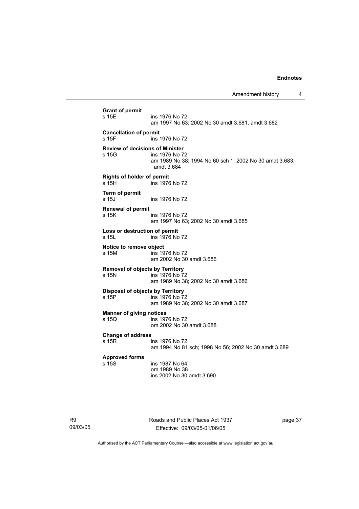**Grant of permit**  s 15E ins 1976 No 72 am 1997 No 63; 2002 No 30 amdt 3.681, amdt 3.682 **Cancellation of permit**  s 15F ins 1976 No 72 **Review of decisions of Minister**  ins 1976 No 72 am 1989 No 38; 1994 No 60 sch 1; 2002 No 30 amdt 3.683, amdt 3.684 **Rights of holder of permit**  s 15H ins 1976 No 72 **Term of permit**  ins 1976 No 72 **Renewal of permit**  s 15K ins 1976 No 72 am 1997 No 63; 2002 No 30 amdt 3.685 **Loss or destruction of permit**  s 15L ins 1976 No 72 **Notice to remove object**  s 15M ins 1976 No 72 am 2002 No 30 amdt 3.686 **Removal of objects by Territory**  ins 1976 No 72 am 1989 No 38; 2002 No 30 amdt 3.686 **Disposal of objects by Territory**  s 15P ins 1976 No 72 am 1989 No 38; 2002 No 30 amdt 3.687 **Manner of giving notices**  s 15Q ins 1976 No 72 om 2002 No 30 amdt 3.688 **Change of address**  ins 1976 No 72 am 1994 No 81 sch; 1998 No 56; 2002 No 30 amdt 3.689 **Approved forms**  ins 1987 No 64 om 1989 No 38 ins 2002 No 30 amdt 3.690

Roads and Public Places Act 1937 Effective: 09/03/05-01/06/05

page 37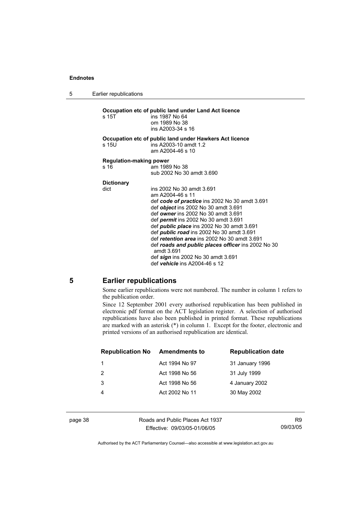5 Earlier republications

**Occupation etc of public land under Land Act licence**  s 15T ins 1987 No 64 om 1989 No 38 ins A2003-34 s 16 **Occupation etc of public land under Hawkers Act licence**  s 15U ins A2003-10 amdt 1.2 am A2004-46 s 10 **Regulation-making power**  am 1989 No 38 sub 2002 No 30 amdt 3.690 **Dictionary**  dict ins 2002 No 30 amdt 3.691 am A2004-46 s 11 def *code of practice* ins 2002 No 30 amdt 3.691 def *object* ins 2002 No 30 amdt 3.691 def *owner* ins 2002 No 30 amdt 3.691 def *permit* ins 2002 No 30 amdt 3.691 def *public place* ins 2002 No 30 amdt 3.691 def *public road* ins 2002 No 30 amdt 3.691 def *retention area* ins 2002 No 30 amdt 3.691 def *roads and public places officer* ins 2002 No 30 amdt 3.691 def *sign* ins 2002 No 30 amdt 3.691 def *vehicle* ins A2004-46 s 12

#### **5 Earlier republications**

Some earlier republications were not numbered. The number in column 1 refers to the publication order.

Since 12 September 2001 every authorised republication has been published in electronic pdf format on the ACT legislation register. A selection of authorised republications have also been published in printed format. These republications are marked with an asterisk (\*) in column 1. Except for the footer, electronic and printed versions of an authorised republication are identical.

| <b>Amendments to</b> | <b>Republication date</b> |
|----------------------|---------------------------|
| Act 1994 No 97       | 31 January 1996           |
| Act 1998 No 56       | 31 July 1999              |
| Act 1998 No 56       | 4 January 2002            |
| Act 2002 No 11       | 30 May 2002               |
|                      |                           |

page 38 Roads and Public Places Act 1937 Effective: 09/03/05-01/06/05

R9 09/03/05